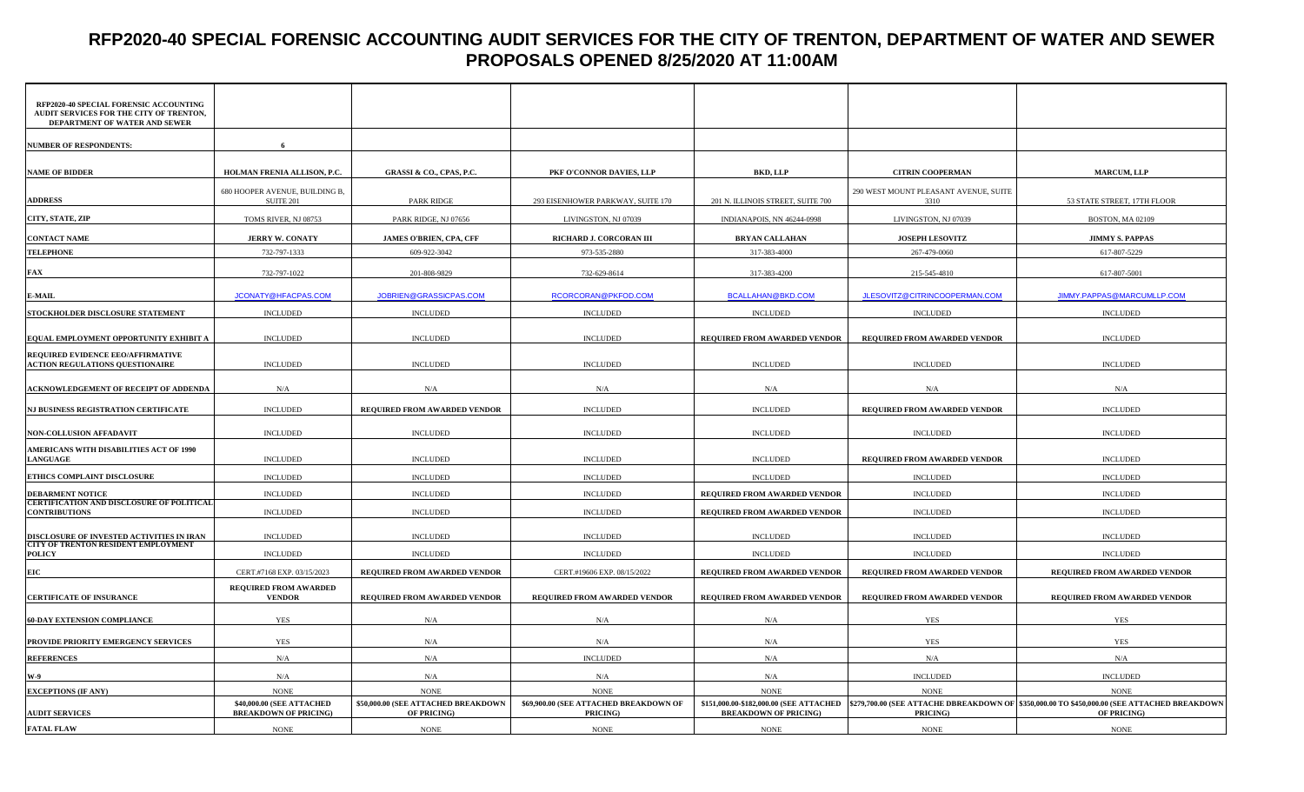### **RFP2020-40 SPECIAL FORENSIC ACCOUNTING AUDIT SERVICES FOR THE CITY OF TRENTON, DEPARTMENT OF WATER AND SEWER PROPOSALS OPENED 8/25/2020 AT 11:00AM**

| RFP2020-40 SPECIAL FORENSIC ACCOUNTING<br>AUDIT SERVICES FOR THE CITY OF TRENTON,<br>DEPARTMENT OF WATER AND SEWER |                                                           |                                                    |                                                    |                                   |                                               |                                                                                                                                                       |
|--------------------------------------------------------------------------------------------------------------------|-----------------------------------------------------------|----------------------------------------------------|----------------------------------------------------|-----------------------------------|-----------------------------------------------|-------------------------------------------------------------------------------------------------------------------------------------------------------|
| <b>NUMBER OF RESPONDENTS:</b>                                                                                      | 6                                                         |                                                    |                                                    |                                   |                                               |                                                                                                                                                       |
|                                                                                                                    |                                                           |                                                    |                                                    |                                   |                                               |                                                                                                                                                       |
| <b>NAME OF BIDDER</b>                                                                                              | HOLMAN FRENIA ALLISON, P.C.                               | <b>GRASSI &amp; CO., CPAS, P.C.</b>                | PKF O'CONNOR DAVIES, LLP                           | <b>BKD, LLP</b>                   | <b>CITRIN COOPERMAN</b>                       | <b>MARCUM, LLP</b>                                                                                                                                    |
| <b>ADDRESS</b>                                                                                                     | 680 HOOPER AVENUE, BUILDING B,<br>SUITE 201               | <b>PARK RIDGE</b>                                  | 293 EISENHOWER PARKWAY, SUITE 170                  | 201 N. ILLINOIS STREET, SUITE 700 | 290 WEST MOUNT PLEASANT AVENUE, SUITE<br>3310 | 53 STATE STREET, 17TH FLOOR                                                                                                                           |
| CITY, STATE, ZIP                                                                                                   | TOMS RIVER, NJ 08753                                      | PARK RIDGE, NJ 07656                               | LIVINGSTON, NJ 07039                               | INDIANAPOIS, NN 46244-0998        | LIVINGSTON, NJ 07039                          | BOSTON, MA 02109                                                                                                                                      |
| <b>CONTACT NAME</b>                                                                                                | <b>JERRY W. CONATY</b>                                    | JAMES O'BRIEN, CPA, CFF                            | RICHARD J. CORCORAN III                            | <b>BRYAN CALLAHAN</b>             | JOSEPH LESOVITZ                               | <b>JIMMY S. PAPPAS</b>                                                                                                                                |
| <b>TELEPHONE</b>                                                                                                   | 732-797-1333                                              | 609-922-3042                                       | 973-535-2880                                       | 317-383-4000                      | 267-479-0060                                  | 617-807-5229                                                                                                                                          |
| FAX                                                                                                                | 732-797-1022                                              | 201-808-9829                                       | 732-629-8614                                       | 317-383-4200                      | 215-545-4810                                  | 617-807-5001                                                                                                                                          |
| E-MAIL                                                                                                             | JCONATY@HFACPAS.COM                                       | JOBRIEN@GRASSICPAS.COM                             | RCORCORAN@PKFOD.COM                                | <b>BCALLAHAN@BKD.COM</b>          | JLESOVITZ@CITRINCOOPERMAN.COM                 | JIMMY.PAPPAS@MARCUMLLP.COM                                                                                                                            |
| STOCKHOLDER DISCLOSURE STATEMENT                                                                                   | <b>INCLUDED</b>                                           | <b>INCLUDED</b>                                    | <b>INCLUDED</b>                                    | <b>INCLUDED</b>                   | <b>INCLUDED</b>                               | <b>INCLUDED</b>                                                                                                                                       |
| EQUAL EMPLOYMENT OPPORTUNITY EXHIBIT A                                                                             | <b>INCLUDED</b>                                           | <b>INCLUDED</b>                                    | <b>INCLUDED</b>                                    | REQUIRED FROM AWARDED VENDOR      | REQUIRED FROM AWARDED VENDOR                  | <b>INCLUDED</b>                                                                                                                                       |
| REQUIRED EVIDENCE EEO/AFFIRMATIVE                                                                                  |                                                           |                                                    |                                                    |                                   |                                               |                                                                                                                                                       |
| <b>ACTION REGULATIONS QUESTIONAIRE</b>                                                                             | <b>INCLUDED</b>                                           | <b>INCLUDED</b>                                    | <b>INCLUDED</b>                                    | <b>INCLUDED</b>                   | <b>INCLUDED</b>                               | <b>INCLUDED</b>                                                                                                                                       |
| ACKNOWLEDGEMENT OF RECEIPT OF ADDENDA                                                                              | N/A                                                       | N/A                                                | N/A                                                | N/A                               | N/A                                           | N/A                                                                                                                                                   |
| NJ BUSINESS REGISTRATION CERTIFICATE                                                                               | <b>INCLUDED</b>                                           | REQUIRED FROM AWARDED VENDOR                       | <b>INCLUDED</b>                                    | <b>INCLUDED</b>                   | REQUIRED FROM AWARDED VENDOR                  | <b>INCLUDED</b>                                                                                                                                       |
| NON-COLLUSION AFFADAVIT                                                                                            | <b>INCLUDED</b>                                           | <b>INCLUDED</b>                                    | <b>INCLUDED</b>                                    | <b>INCLUDED</b>                   | <b>INCLUDED</b>                               | <b>INCLUDED</b>                                                                                                                                       |
| AMERICANS WITH DISABILITIES ACT OF 1990<br><b>LANGUAGE</b>                                                         | <b>INCLUDED</b>                                           | <b>INCLUDED</b>                                    | <b>INCLUDED</b>                                    | <b>INCLUDED</b>                   | REQUIRED FROM AWARDED VENDOR                  | <b>INCLUDED</b>                                                                                                                                       |
| ETHICS COMPLAINT DISCLOSURE                                                                                        | <b>INCLUDED</b>                                           | <b>INCLUDED</b>                                    | <b>INCLUDED</b>                                    | INCLUDED                          | <b>INCLUDED</b>                               | <b>INCLUDED</b>                                                                                                                                       |
| <b>DEBARMENT NOTICE</b>                                                                                            | <b>INCLUDED</b>                                           | <b>INCLUDED</b>                                    | <b>INCLUDED</b>                                    | REQUIRED FROM AWARDED VENDOR      | <b>INCLUDED</b>                               | <b>INCLUDED</b>                                                                                                                                       |
| <b>CERTIFICATION AND DISCLOSURE OF POLITICAL</b><br><b>CONTRIBUTIONS</b>                                           | <b>INCLUDED</b>                                           | <b>INCLUDED</b>                                    | <b>INCLUDED</b>                                    | REQUIRED FROM AWARDED VENDOR      | <b>INCLUDED</b>                               | <b>INCLUDED</b>                                                                                                                                       |
| DISCLOSURE OF INVESTED ACTIVITIES IN IRAN                                                                          | <b>INCLUDED</b>                                           | <b>INCLUDED</b>                                    | <b>INCLUDED</b>                                    | <b>INCLUDED</b>                   | <b>INCLUDED</b>                               | <b>INCLUDED</b>                                                                                                                                       |
| CITY OF TRENTON RESIDENT EMPLOYMENT                                                                                |                                                           |                                                    |                                                    |                                   |                                               |                                                                                                                                                       |
| <b>POLICY</b>                                                                                                      | <b>INCLUDED</b>                                           | <b>INCLUDED</b>                                    | <b>INCLUDED</b>                                    | <b>INCLUDED</b>                   | <b>INCLUDED</b>                               | <b>INCLUDED</b>                                                                                                                                       |
| EIC                                                                                                                | CERT.#7168 EXP. 03/15/2023                                | REQUIRED FROM AWARDED VENDOR                       | CERT.#19606 EXP. 08/15/2022                        | REQUIRED FROM AWARDED VENDOR      | REQUIRED FROM AWARDED VENDOR                  | REQUIRED FROM AWARDED VENDOR                                                                                                                          |
| <b>CERTIFICATE OF INSURANCE</b>                                                                                    | <b>REQUIRED FROM AWARDED</b><br><b>VENDOR</b>             | REQUIRED FROM AWARDED VENDOR                       | REQUIRED FROM AWARDED VENDOR                       | REQUIRED FROM AWARDED VENDOR      | REQUIRED FROM AWARDED VENDOR                  | REQUIRED FROM AWARDED VENDOR                                                                                                                          |
| <b>60-DAY EXTENSION COMPLIANCE</b>                                                                                 | YES                                                       | N/A                                                | N/A                                                | N/A                               | YES                                           | YES                                                                                                                                                   |
| PROVIDE PRIORITY EMERGENCY SERVICES                                                                                | YES                                                       | N/A                                                | N/A                                                | N/A                               | <b>YES</b>                                    | <b>YES</b>                                                                                                                                            |
| <b>REFERENCES</b>                                                                                                  | N/A                                                       | N/A                                                | <b>INCLUDED</b>                                    | N/A                               | N/A                                           | N/A                                                                                                                                                   |
| W-9                                                                                                                | N/A                                                       | $\rm N/A$                                          | N/A                                                | N/A                               | <b>INCLUDED</b>                               | <b>INCLUDED</b>                                                                                                                                       |
| <b>EXCEPTIONS (IF ANY)</b>                                                                                         | <b>NONE</b>                                               | <b>NONE</b>                                        | <b>NONE</b>                                        | <b>NONE</b>                       | <b>NONE</b>                                   | <b>NONE</b>                                                                                                                                           |
| <b>AUDIT SERVICES</b>                                                                                              | \$40,000.00 (SEE ATTACHED<br><b>BREAKDOWN OF PRICING)</b> | \$50,000.00 (SEE ATTACHED BREAKDOWN<br>OF PRICING) | \$69,900.00 (SEE ATTACHED BREAKDOWN OF<br>PRICING) | <b>BREAKDOWN OF PRICING)</b>      | PRICING)                                      | \$151,000.00-\$182,000.00 (SEE ATTACHED  \$279,700.00 (SEE ATTACHE DBREAKDOWN OF  \$350,000.00 TO \$450,000.00 (SEE ATTACHED BREAKDOWN<br>OF PRICING) |
| <b>FATAL FLAW</b>                                                                                                  | <b>NONE</b>                                               | <b>NONE</b>                                        | $\rm{NONE}$                                        | $\rm{NONE}$                       | $\rm{NONE}$                                   | <b>NONE</b>                                                                                                                                           |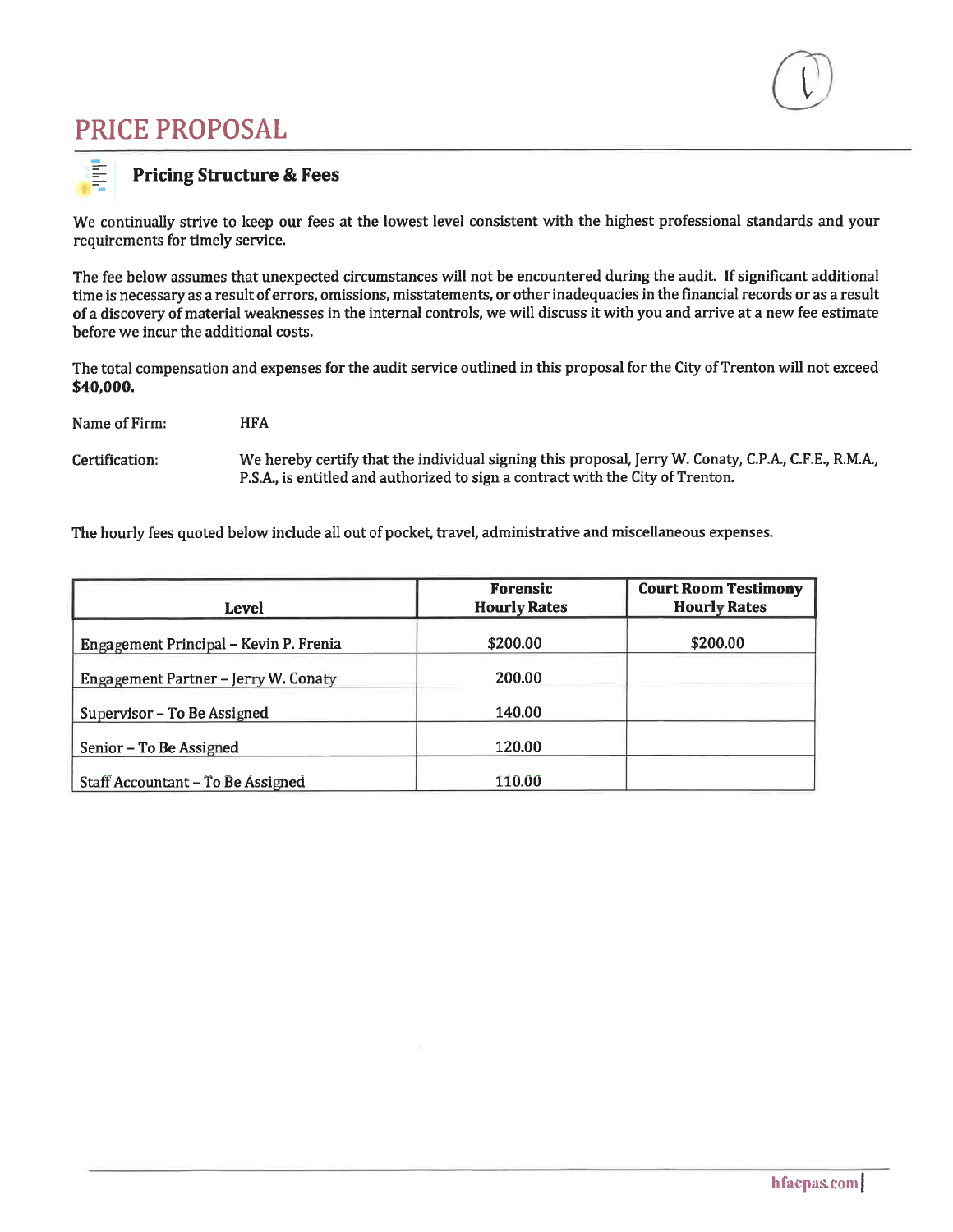# **PRICE PROPOSAL**



#### **Pricing Structure & Fees**

We continually strive to keep our fees at the lowest level consistent with the highest professional standards and your requirements for timely service.

The fee below assumes that unexpected circumstances will not be encountered during the audit. If significant additional time is necessary as a result of errors, omissions, misstatements, or other inadequacies in the financial records or as a result of a discovery of material weaknesses in the internal controls, we will discuss it with you and arrive at a new fee estimate before we incur the additional costs.

The total compensation and expenses for the audit service outlined in this proposal for the City of Trenton will not exceed \$40,000.

Name of Firm: **HFA** 

We hereby certify that the individual signing this proposal, Jerry W. Conaty, C.P.A., C.F.E., R.M.A., Certification: P.S.A., is entitled and authorized to sign a contract with the City of Trenton.

The hourly fees quoted below include all out of pocket, travel, administrative and miscellaneous expenses.

| Level                                  | <b>Forensic</b><br><b>Hourly Rates</b> | <b>Court Room Testimony</b><br><b>Hourly Rates</b> |
|----------------------------------------|----------------------------------------|----------------------------------------------------|
| Engagement Principal - Kevin P. Frenia | \$200.00                               | \$200.00                                           |
| Engagement Partner - Jerry W. Conaty   | 200.00                                 |                                                    |
| Supervisor - To Be Assigned            | 140.00                                 |                                                    |
| Senior - To Be Assigned                | 120.00                                 |                                                    |
| Staff Accountant - To Be Assigned      | 110.00                                 |                                                    |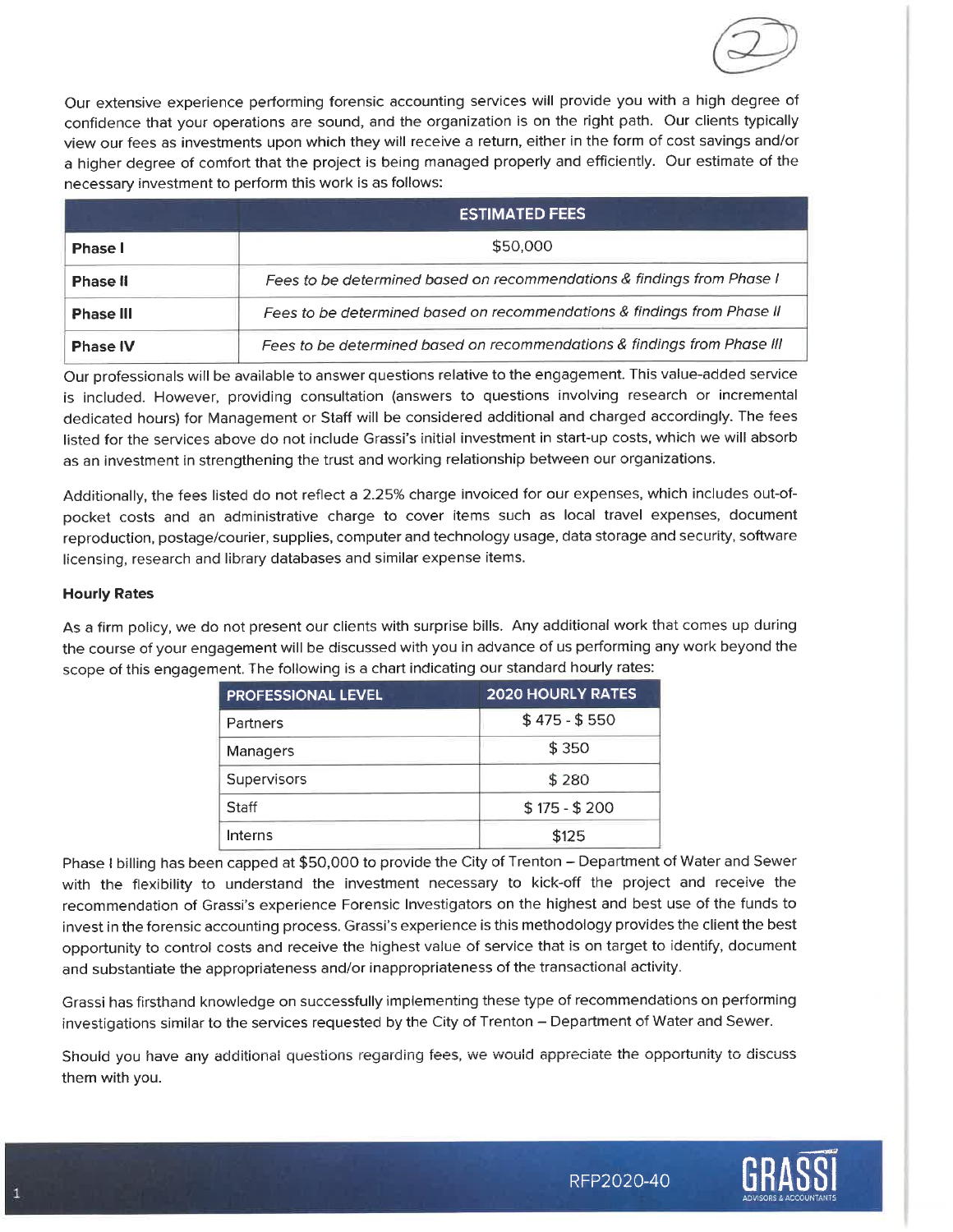

Our extensive experience performing forensic accounting services will provide you with a high degree of confidence that your operations are sound, and the organization is on the right path. Our clients typically view our fees as investments upon which they will receive a return, either in the form of cost savings and/or a higher degree of comfort that the project is being managed properly and efficiently. Our estimate of the necessary investment to perform this work is as follows:

|                  | <b>ESTIMATED FEES</b>                                                    |
|------------------|--------------------------------------------------------------------------|
| <b>Phase I</b>   | \$50,000                                                                 |
| <b>Phase II</b>  | Fees to be determined based on recommendations & findings from Phase I   |
| <b>Phase III</b> | Fees to be determined based on recommendations & findings from Phase II  |
| <b>Phase IV</b>  | Fees to be determined based on recommendations & findings from Phase III |

Our professionals will be available to answer questions relative to the engagement. This value-added service is included. However, providing consultation (answers to questions involving research or incremental dedicated hours) for Management or Staff will be considered additional and charged accordingly. The fees listed for the services above do not include Grassi's initial investment in start-up costs, which we will absorb as an investment in strengthening the trust and working relationship between our organizations.

Additionally, the fees listed do not reflect a 2.25% charge invoiced for our expenses, which includes out-ofpocket costs and an administrative charge to cover items such as local travel expenses, document reproduction, postage/courier, supplies, computer and technology usage, data storage and security, software licensing, research and library databases and similar expense items.

#### **Hourly Rates**

As a firm policy, we do not present our clients with surprise bills. Any additional work that comes up during the course of your engagement will be discussed with you in advance of us performing any work beyond the scope of this engagement. The following is a chart indicating our standard hourly rates:

| <b>PROFESSIONAL LEVEL</b> | <b>2020 HOURLY RATES</b> |  |  |
|---------------------------|--------------------------|--|--|
| Partners                  | $$475 - $550$            |  |  |
| Managers                  | \$350                    |  |  |
| Supervisors               | \$280                    |  |  |
| Staff                     | $$175 - $200$            |  |  |
| Interns                   | \$125                    |  |  |

Phase I billing has been capped at \$50,000 to provide the City of Trenton - Department of Water and Sewer with the flexibility to understand the investment necessary to kick-off the project and receive the recommendation of Grassi's experience Forensic Investigators on the highest and best use of the funds to invest in the forensic accounting process. Grassi's experience is this methodology provides the client the best opportunity to control costs and receive the highest value of service that is on target to identify, document and substantiate the appropriateness and/or inappropriateness of the transactional activity.

Grassi has firsthand knowledge on successfully implementing these type of recommendations on performing investigations similar to the services requested by the City of Trenton - Department of Water and Sewer.

Should you have any additional questions regarding fees, we would appreciate the opportunity to discuss them with you.

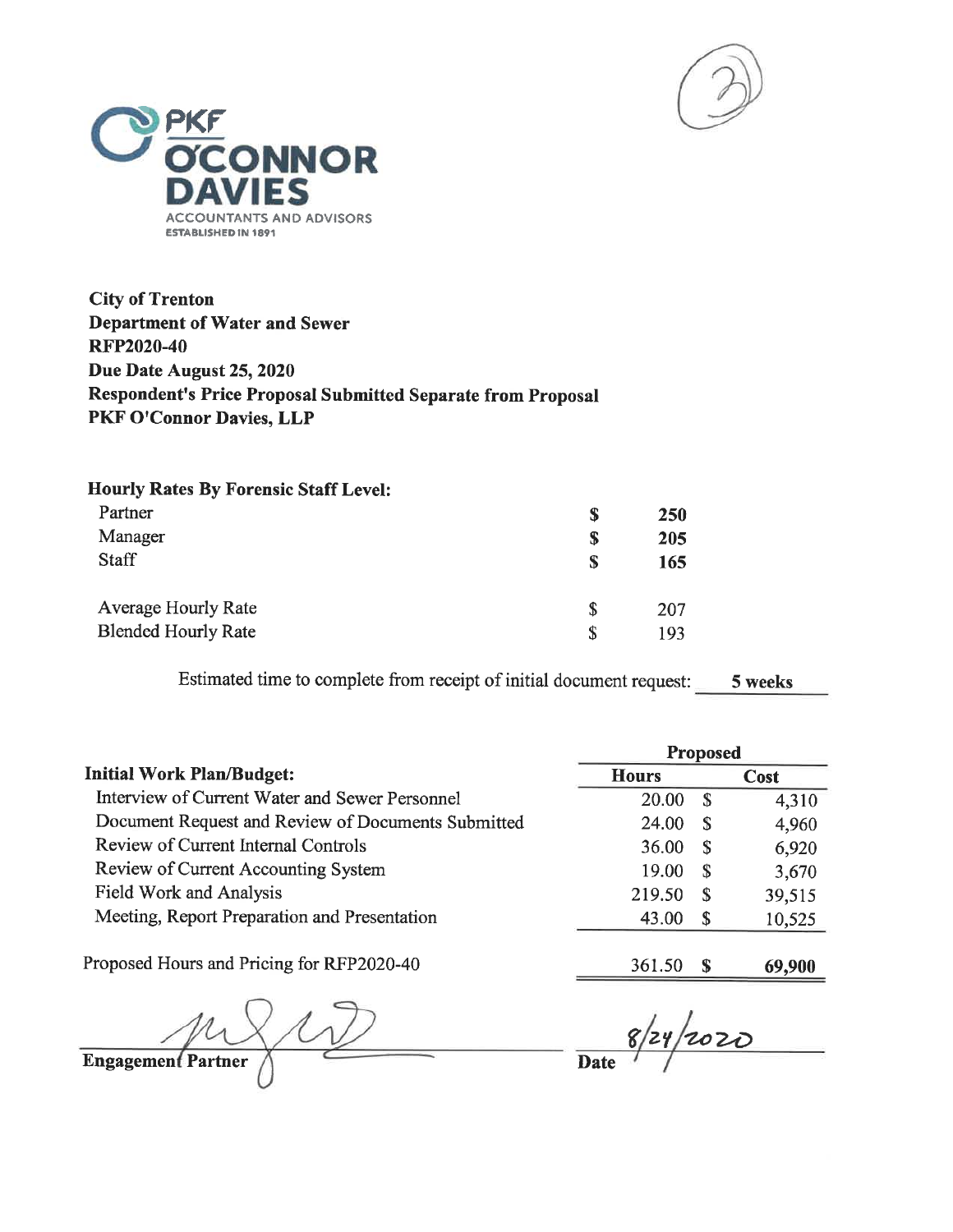



**City of Trenton Department of Water and Sewer RFP2020-40** Due Date August 25, 2020 Respondent's Price Proposal Submitted Separate from Proposal PKF O'Connor Davies, LLP

| <b>Hourly Rates By Forensic Staff Level:</b> |   |     |
|----------------------------------------------|---|-----|
| Partner                                      | S | 250 |
| Manager                                      | S | 205 |
| <b>Staff</b>                                 | S | 165 |
| <b>Average Hourly Rate</b>                   | S | 207 |
| <b>Blended Hourly Rate</b>                   |   | 193 |

Estimated time to complete from receipt of initial document request: 5 weeks

|                                                    |              | <b>Proposed</b> |             |
|----------------------------------------------------|--------------|-----------------|-------------|
| <b>Initial Work Plan/Budget:</b>                   | <b>Hours</b> |                 | <b>Cost</b> |
| Interview of Current Water and Sewer Personnel     | 20.00        | -S              | 4,310       |
| Document Request and Review of Documents Submitted | 24.00        | S               | 4,960       |
| Review of Current Internal Controls                | 36.00        | S               | 6,920       |
| Review of Current Accounting System                | 19.00        | -S              | 3,670       |
| Field Work and Analysis                            | 219.50       | - S             | 39,515      |
| Meeting, Report Preparation and Presentation       | 43.00        | - S             | 10,525      |
| Proposed Hours and Pricing for RFP2020-40          | 361.50       |                 | 69,900      |
|                                                    |              |                 |             |

 $\sqrt{2}$ Engagement Partner

 $-\frac{8}{24}/2020$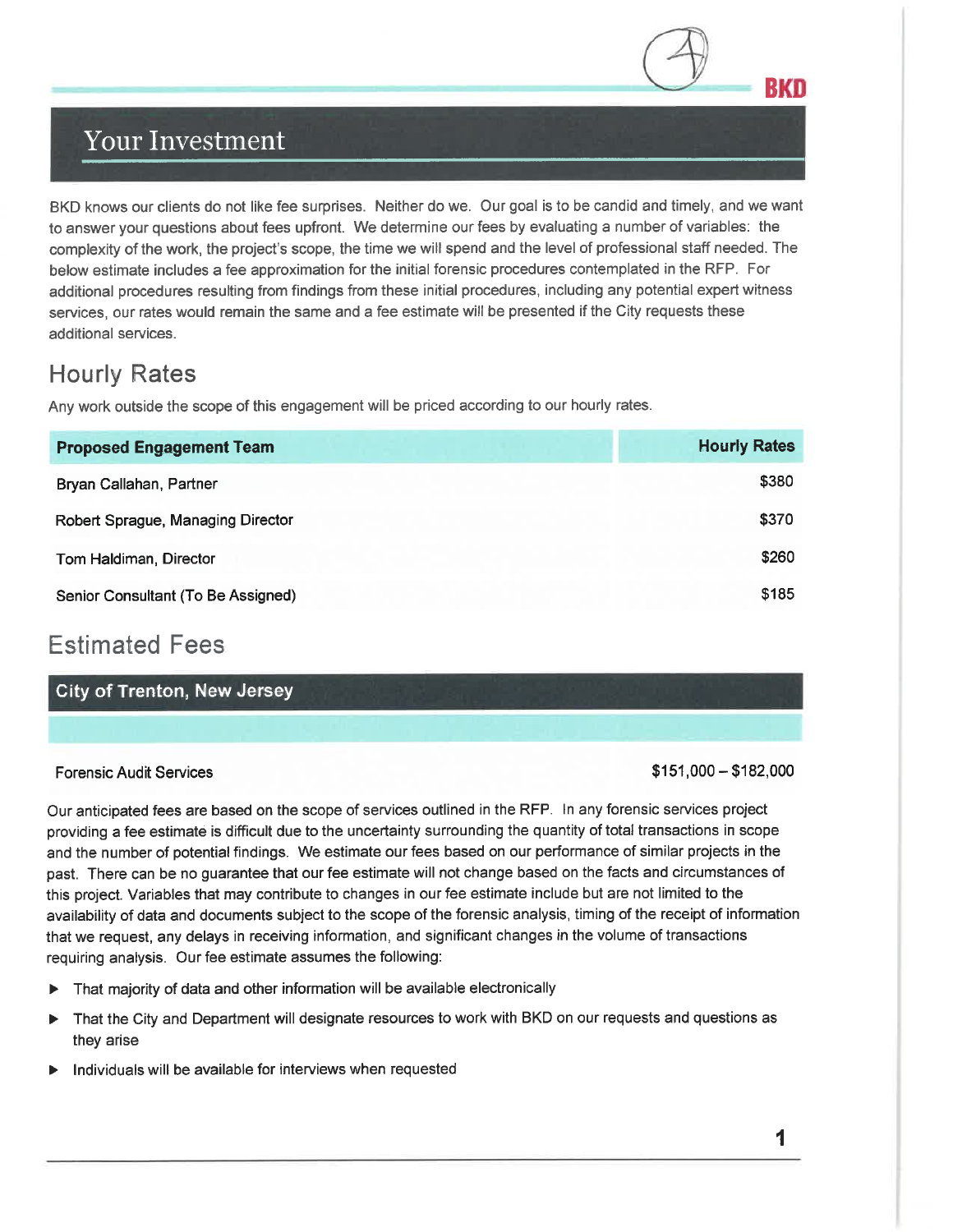## **Your Investment**

BKD knows our clients do not like fee surprises. Neither do we. Our goal is to be candid and timely, and we want to answer your questions about fees upfront. We determine our fees by evaluating a number of variables: the complexity of the work, the project's scope, the time we will spend and the level of professional staff needed. The below estimate includes a fee approximation for the initial forensic procedures contemplated in the RFP. For additional procedures resulting from findings from these initial procedures, including any potential expert witness services, our rates would remain the same and a fee estimate will be presented if the City requests these additional services.

## **Hourly Rates**

Any work outside the scope of this engagement will be priced according to our hourly rates.

| <b>Proposed Engagement Team</b>    | <b>Hourly Rates</b> |
|------------------------------------|---------------------|
| Bryan Callahan, Partner            | \$380               |
| Robert Sprague, Managing Director  | \$370               |
| Tom Haldiman, Director             | \$260               |
| Senior Consultant (To Be Assigned) | \$185               |

## **Estimated Fees**

**City of Trenton, New Jersey** 

#### **Forensic Audit Services**

 $$151,000 - $182,000$ 

BKO

Our anticipated fees are based on the scope of services outlined in the RFP. In any forensic services project providing a fee estimate is difficult due to the uncertainty surrounding the quantity of total transactions in scope and the number of potential findings. We estimate our fees based on our performance of similar projects in the past. There can be no guarantee that our fee estimate will not change based on the facts and circumstances of this project. Variables that may contribute to changes in our fee estimate include but are not limited to the availability of data and documents subject to the scope of the forensic analysis, timing of the receipt of information that we request, any delays in receiving information, and significant changes in the volume of transactions requiring analysis. Our fee estimate assumes the following:

- That majority of data and other information will be available electronically
- That the City and Department will designate resources to work with BKD on our requests and questions as  $\blacktriangleright$ they arise
- Individuals will be available for interviews when requested

1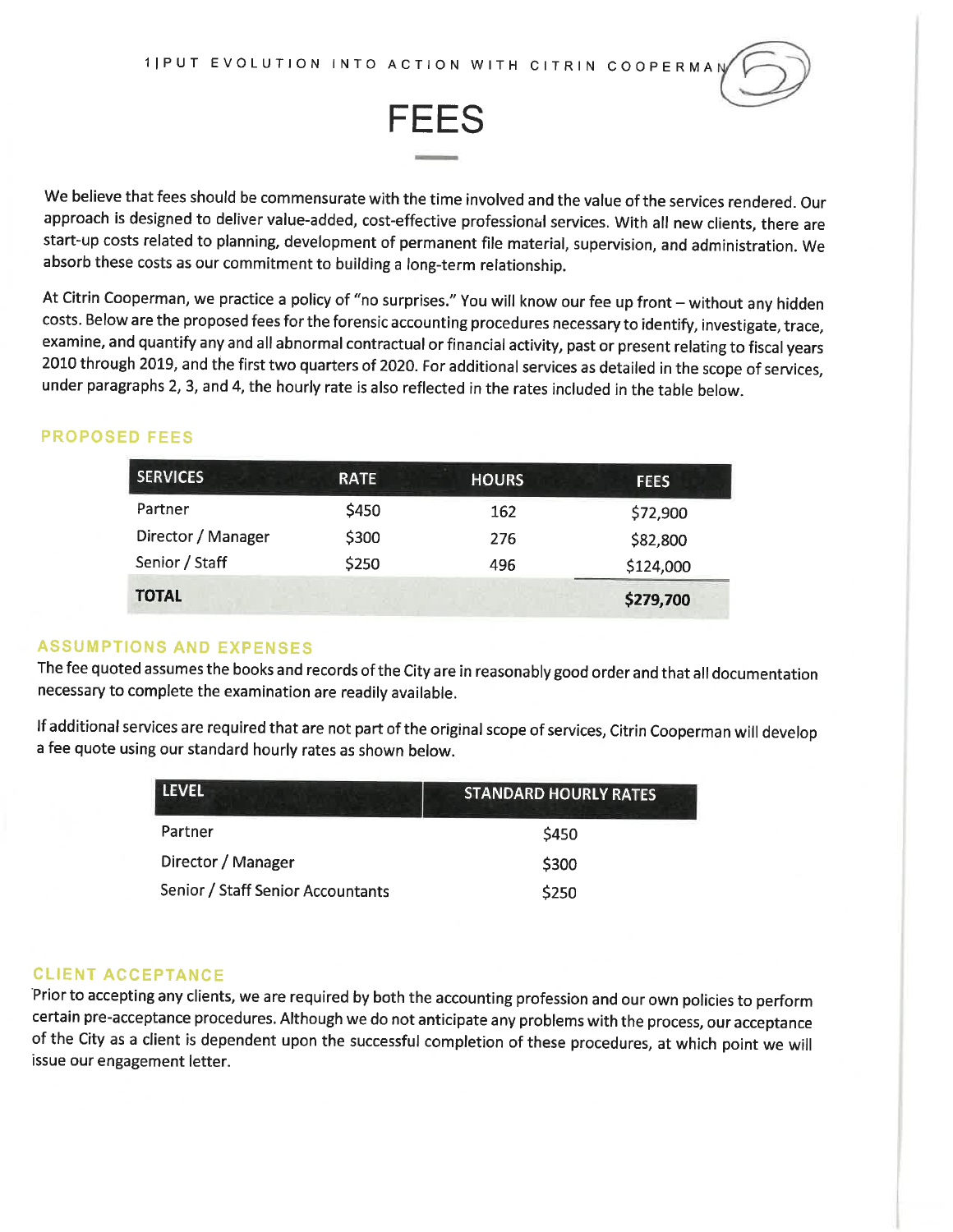

**FEES** 

We believe that fees should be commensurate with the time involved and the value of the services rendered. Our approach is designed to deliver value-added, cost-effective professional services. With all new clients, there are start-up costs related to planning, development of permanent file material, supervision, and administration. We absorb these costs as our commitment to building a long-term relationship.

At Citrin Cooperman, we practice a policy of "no surprises." You will know our fee up front - without any hidden costs. Below are the proposed fees for the forensic accounting procedures necessary to identify, investigate, trace, examine, and quantify any and all abnormal contractual or financial activity, past or present relating to fiscal years 2010 through 2019, and the first two quarters of 2020. For additional services as detailed in the scope of services, under paragraphs 2, 3, and 4, the hourly rate is also reflected in the rates included in the table below.

#### **PROPOSED FEES**

| <b>SERVICES</b>    | <b>RATE</b> | <b>HOURS</b> | <b>FEES</b> |
|--------------------|-------------|--------------|-------------|
| Partner            | \$450       | 162          | \$72,900    |
| Director / Manager | \$300       | 276          | \$82,800    |
| Senior / Staff     | \$250       | 496          | \$124,000   |
| <b>TOTAL</b>       |             |              | \$279,700   |

#### **ASSUMPTIONS AND EXPENSES**

The fee quoted assumes the books and records of the City are in reasonably good order and that all documentation necessary to complete the examination are readily available.

If additional services are required that are not part of the original scope of services, Citrin Cooperman will develop a fee quote using our standard hourly rates as shown below.

| <b>LEVEL</b>                      | <b>STANDARD HOURLY RATES</b> |
|-----------------------------------|------------------------------|
| Partner                           | \$450                        |
| Director / Manager                | \$300                        |
| Senior / Staff Senior Accountants | \$250                        |

#### **CLIENT ACCEPTANCE**

Prior to accepting any clients, we are required by both the accounting profession and our own policies to perform certain pre-acceptance procedures. Although we do not anticipate any problems with the process, our acceptance of the City as a client is dependent upon the successful completion of these procedures, at which point we will issue our engagement letter.